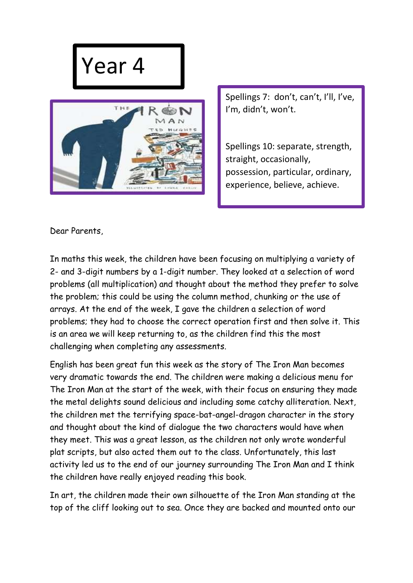## Year 4



Spellings 7: don't, can't, I'll, I've, I'm, didn't, won't.

Spellings 10: separate, strength, straight, occasionally, possession, particular, ordinary, experience, believe, achieve.

Dear Parents,

In maths this week, the children have been focusing on multiplying a variety of 2- and 3-digit numbers by a 1-digit number. They looked at a selection of word problems (all multiplication) and thought about the method they prefer to solve the problem; this could be using the column method, chunking or the use of arrays. At the end of the week, I gave the children a selection of word problems; they had to choose the correct operation first and then solve it. This is an area we will keep returning to, as the children find this the most challenging when completing any assessments.

English has been great fun this week as the story of The Iron Man becomes very dramatic towards the end. The children were making a delicious menu for The Iron Man at the start of the week, with their focus on ensuring they made the metal delights sound delicious and including some catchy alliteration. Next, the children met the terrifying space-bat-angel-dragon character in the story and thought about the kind of dialogue the two characters would have when they meet. This was a great lesson, as the children not only wrote wonderful plat scripts, but also acted them out to the class. Unfortunately, this last activity led us to the end of our journey surrounding The Iron Man and I think the children have really enjoyed reading this book.

In art, the children made their own silhouette of the Iron Man standing at the top of the cliff looking out to sea. Once they are backed and mounted onto our